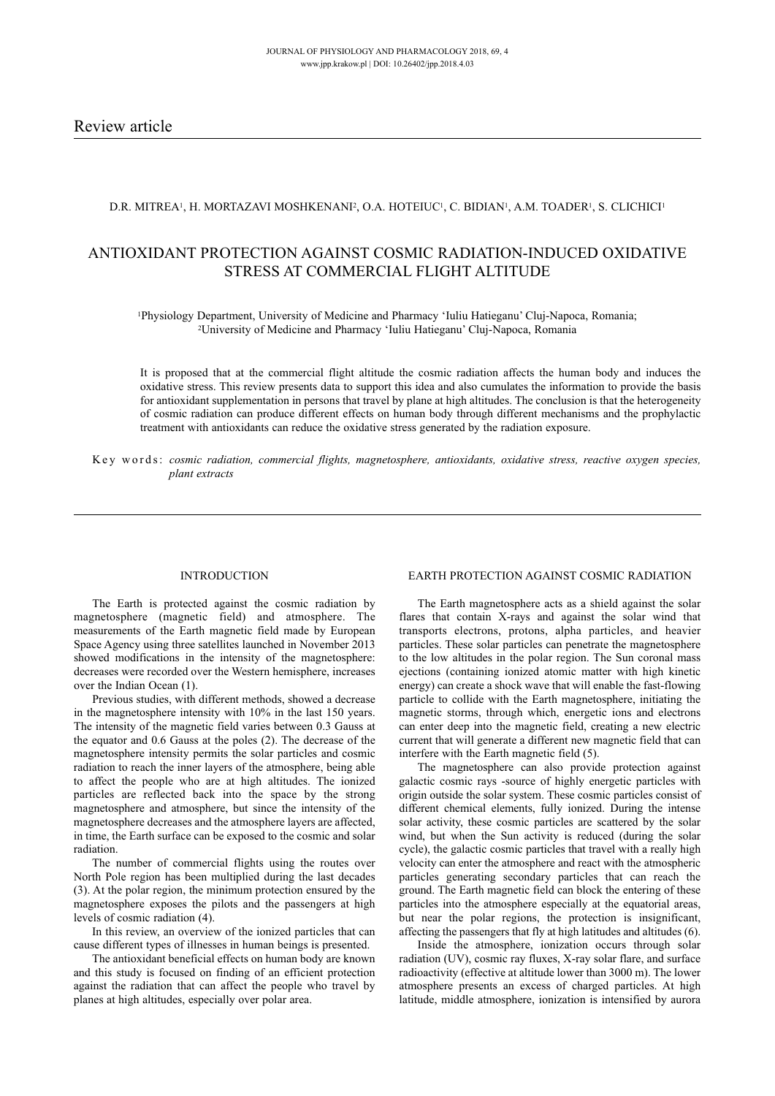# D.R. MITREA<sup>1</sup>, H. MORTAZAVI MOSHKENANI<sup>2</sup>, O.A. HOTEIUC<sup>1</sup>, C. BIDIAN<sup>1</sup>, A.M. TOADER<sup>1</sup>, S. CLICHICI<sup>1</sup>

# ANTIOXIDANT PROTECTION AGAINST COSMIC RADIATION-INDUCED OXIDATIVE STRESS AT COMMERCIAL FLIGHT ALTITUDE

1Physiology Department, University of Medicine and Pharmacy 'Iuliu Hatieganu' Cluj-Napoca, Romania; 2University of Medicine and Pharmacy 'Iuliu Hatieganu' Cluj-Napoca, Romania

It is proposed that at the commercial flight altitude the cosmic radiation affects the human body and induces the oxidative stress. This review presents data to support this idea and also cumulates the information to provide the basis for antioxidant supplementation in persons that travel by plane at high altitudes. The conclusion is that the heterogeneity of cosmic radiation can produce different effects on human body through different mechanisms and the prophylactic treatment with antioxidants can reduce the oxidative stress generated by the radiation exposure.

K e y w o r d s: *cosmic radiation, commercial flights, magnetosphere, antioxidants, oxidative stress, reactive oxygen species, plant extracts*

#### INTRODUCTION

The Earth is protected against the cosmic radiation by magnetosphere (magnetic field) and atmosphere. The measurements of the Earth magnetic field made by European Space Agency using three satellites launched in November 2013 showed modifications in the intensity of the magnetosphere: decreases were recorded over the Western hemisphere, increases over the Indian Ocean (1).

Previous studies, with different methods, showed a decrease in the magnetosphere intensity with 10% in the last 150 years. The intensity of the magnetic field varies between 0.3 Gauss at the equator and 0.6 Gauss at the poles (2). The decrease of the magnetosphere intensity permits the solar particles and cosmic radiation to reach the inner layers of the atmosphere, being able to affect the people who are at high altitudes. The ionized particles are reflected back into the space by the strong magnetosphere and atmosphere, but since the intensity of the magnetosphere decreases and the atmosphere layers are affected, in time, the Earth surface can be exposed to the cosmic and solar radiation.

The number of commercial flights using the routes over North Pole region has been multiplied during the last decades (3). At the polar region, the minimum protection ensured by the magnetosphere exposes the pilots and the passengers at high levels of cosmic radiation (4).

In this review, an overview of the ionized particles that can cause different types of illnesses in human beings is presented.

The antioxidant beneficial effects on human body are known and this study is focused on finding of an efficient protection against the radiation that can affect the people who travel by planes at high altitudes, especially over polar area.

#### EARTH PROTECTION AGAINST COSMIC RADIATION

The Earth magnetosphere acts as a shield against the solar flares that contain X-rays and against the solar wind that transports electrons, protons, alpha particles, and heavier particles. These solar particles can penetrate the magnetosphere to the low altitudes in the polar region. The Sun coronal mass ejections (containing ionized atomic matter with high kinetic energy) can create a shock wave that will enable the fast-flowing particle to collide with the Earth magnetosphere, initiating the magnetic storms, through which, energetic ions and electrons can enter deep into the magnetic field, creating a new electric current that will generate a different new magnetic field that can interfere with the Earth magnetic field (5).

The magnetosphere can also provide protection against galactic cosmic rays -source of highly energetic particles with origin outside the solar system. These cosmic particles consist of different chemical elements, fully ionized. During the intense solar activity, these cosmic particles are scattered by the solar wind, but when the Sun activity is reduced (during the solar cycle), the galactic cosmic particles that travel with a really high velocity can enter the atmosphere and react with the atmospheric particles generating secondary particles that can reach the ground. The Earth magnetic field can block the entering of these particles into the atmosphere especially at the equatorial areas, but near the polar regions, the protection is insignificant, affecting the passengers that fly at high latitudes and altitudes (6).

Inside the atmosphere, ionization occurs through solar radiation (UV), cosmic ray fluxes, X-ray solar flare, and surface radioactivity (effective at altitude lower than 3000 m). The lower atmosphere presents an excess of charged particles. At high latitude, middle atmosphere, ionization is intensified by aurora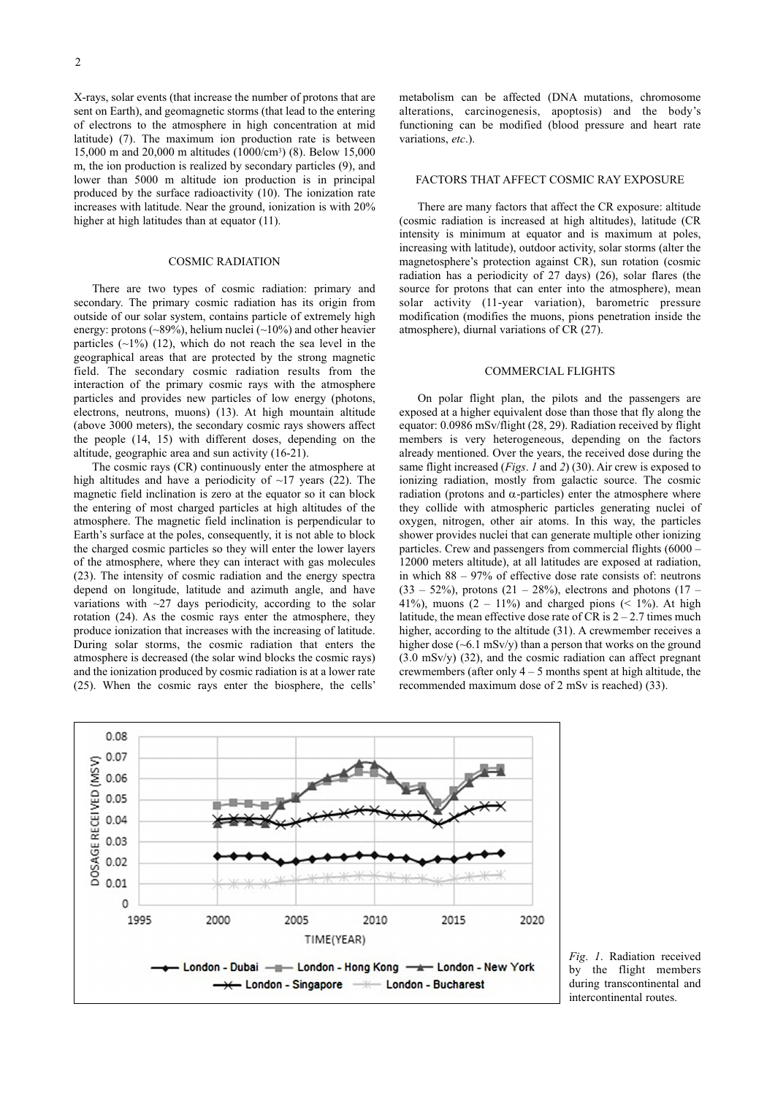X-rays, solar events (that increase the number of protons that are sent on Earth), and geomagnetic storms (that lead to the entering of electrons to the atmosphere in high concentration at mid latitude) (7). The maximum ion production rate is between 15,000 m and 20,000 m altitudes (1000/cm3) (8). Below 15,000 m, the ion production is realized by secondary particles (9), and lower than 5000 m altitude ion production is in principal produced by the surface radioactivity (10). The ionization rate increases with latitude. Near the ground, ionization is with 20% higher at high latitudes than at equator (11).

#### COSMIC RADIATION

There are two types of cosmic radiation: primary and secondary. The primary cosmic radiation has its origin from outside of our solar system, contains particle of extremely high energy: protons (~89%), helium nuclei (~10%) and other heavier particles  $(\sim 1\%)$  (12), which do not reach the sea level in the geographical areas that are protected by the strong magnetic field. The secondary cosmic radiation results from the interaction of the primary cosmic rays with the atmosphere particles and provides new particles of low energy (photons, electrons, neutrons, muons) (13). At high mountain altitude (above 3000 meters), the secondary cosmic rays showers affect the people (14, 15) with different doses, depending on the altitude, geographic area and sun activity (16-21).

The cosmic rays (CR) continuously enter the atmosphere at high altitudes and have a periodicity of  $\sim$ 17 years (22). The magnetic field inclination is zero at the equator so it can block the entering of most charged particles at high altitudes of the atmosphere. The magnetic field inclination is perpendicular to Earth's surface at the poles, consequently, it is not able to block the charged cosmic particles so they will enter the lower layers of the atmosphere, where they can interact with gas molecules (23). The intensity of cosmic radiation and the energy spectra depend on longitude, latitude and azimuth angle, and have variations with  $\sim$ 27 days periodicity, according to the solar rotation (24). As the cosmic rays enter the atmosphere, they produce ionization that increases with the increasing of latitude. During solar storms, the cosmic radiation that enters the atmosphere is decreased (the solar wind blocks the cosmic rays) and the ionization produced by cosmic radiation is at a lower rate (25). When the cosmic rays enter the biosphere, the cells'

metabolism can be affected (DNA mutations, chromosome alterations, carcinogenesis, apoptosis) and the body's functioning can be modified (blood pressure and heart rate variations, *etc*.).

#### FACTORS THAT AFFECT COSMIC RAy EXPOSURE

There are many factors that affect the CR exposure: altitude (cosmic radiation is increased at high altitudes), latitude (CR intensity is minimum at equator and is maximum at poles, increasing with latitude), outdoor activity, solar storms (alter the magnetosphere's protection against CR), sun rotation (cosmic radiation has a periodicity of 27 days) (26), solar flares (the source for protons that can enter into the atmosphere), mean solar activity (11-year variation), barometric pressure modification (modifies the muons, pions penetration inside the atmosphere), diurnal variations of CR (27).

# COMMERCIAL FLIGHTS

On polar flight plan, the pilots and the passengers are exposed at a higher equivalent dose than those that fly along the equator: 0.0986 mSv/flight (28, 29). Radiation received by flight members is very heterogeneous, depending on the factors already mentioned. Over the years, the received dose during the same flight increased (*Figs*. *1* and *2*) (30). Air crew is exposed to ionizing radiation, mostly from galactic source. The cosmic radiation (protons and  $\alpha$ -particles) enter the atmosphere where they collide with atmospheric particles generating nuclei of oxygen, nitrogen, other air atoms. In this way, the particles shower provides nuclei that can generate multiple other ionizing particles. Crew and passengers from commercial flights (6000 – 12000 meters altitude), at all latitudes are exposed at radiation, in which 88 – 97% of effective dose rate consists of: neutrons  $(33 - 52\%)$ , protons  $(21 - 28\%)$ , electrons and photons  $(17 -$ 41%), muons (2 – 11%) and charged pions (< 1%). At high latitude, the mean effective dose rate of CR is  $2 - 2.7$  times much higher, according to the altitude (31). A crewmember receives a higher dose (~6.1 mSv/y) than a person that works on the ground (3.0 mSv/y) (32), and the cosmic radiation can affect pregnant crewmembers (after only  $4 - 5$  months spent at high altitude, the recommended maximum dose of 2 mSv is reached) (33).



*Fig*. *1*. Radiation received by the flight members during transcontinental and intercontinental routes.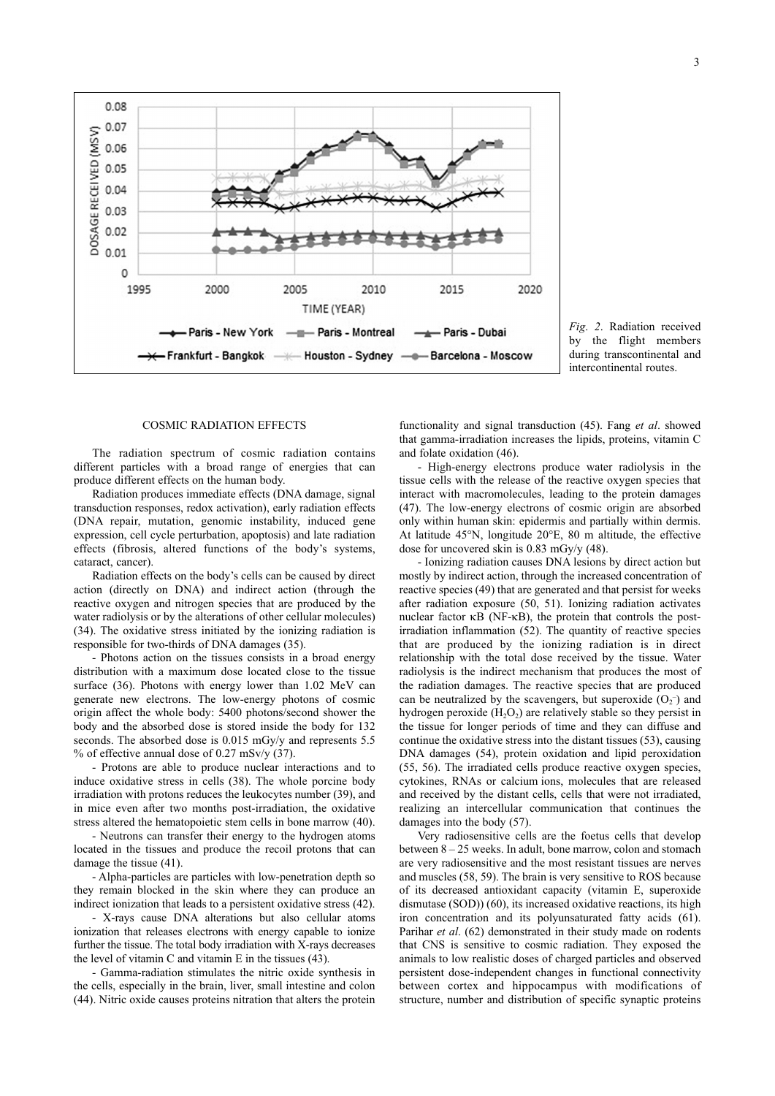

*Fig*. *2*. Radiation received by the flight members during transcontinental and intercontinental routes.

#### COSMIC RADIATION EFFECTS

The radiation spectrum of cosmic radiation contains different particles with a broad range of energies that can produce different effects on the human body.

Radiation produces immediate effects (DNA damage, signal transduction responses, redox activation), early radiation effects (DNA repair, mutation, genomic instability, induced gene expression, cell cycle perturbation, apoptosis) and late radiation effects (fibrosis, altered functions of the body's systems, cataract, cancer).

Radiation effects on the body's cells can be caused by direct action (directly on DNA) and indirect action (through the reactive oxygen and nitrogen species that are produced by the water radiolysis or by the alterations of other cellular molecules) (34). The oxidative stress initiated by the ionizing radiation is responsible for two-thirds of DNA damages (35).

- Photons action on the tissues consists in a broad energy distribution with a maximum dose located close to the tissue surface (36). Photons with energy lower than 1.02 MeV can generate new electrons. The low-energy photons of cosmic origin affect the whole body: 5400 photons/second shower the body and the absorbed dose is stored inside the body for 132 seconds. The absorbed dose is 0.015 mGy/y and represents 5.5 % of effective annual dose of  $0.27$  mSv/v  $(37)$ .

- Protons are able to produce nuclear interactions and to induce oxidative stress in cells (38). The whole porcine body irradiation with protons reduces the leukocytes number (39), and in mice even after two months post-irradiation, the oxidative stress altered the hematopoietic stem cells in bone marrow (40).

- Neutrons can transfer their energy to the hydrogen atoms located in the tissues and produce the recoil protons that can damage the tissue (41).

- Alpha-particles are particles with low-penetration depth so they remain blocked in the skin where they can produce an indirect ionization that leads to a persistent oxidative stress (42).

- X-rays cause DNA alterations but also cellular atoms ionization that releases electrons with energy capable to ionize further the tissue. The total body irradiation with X-rays decreases the level of vitamin C and vitamin E in the tissues (43).

- Gamma-radiation stimulates the nitric oxide synthesis in the cells, especially in the brain, liver, small intestine and colon (44). Nitric oxide causes proteins nitration that alters the protein

functionality and signal transduction (45). Fang *et al*. showed that gamma-irradiation increases the lipids, proteins, vitamin C and folate oxidation (46).

- High-energy electrons produce water radiolysis in the tissue cells with the release of the reactive oxygen species that interact with macromolecules, leading to the protein damages (47). The low-energy electrons of cosmic origin are absorbed only within human skin: epidermis and partially within dermis. At latitude 45°N, longitude 20°E, 80 m altitude, the effective dose for uncovered skin is 0.83 mGy/y (48).

- Ionizing radiation causes DNA lesions by direct action but mostly by indirect action, through the increased concentration of reactive species (49) that are generated and that persist for weeks after radiation exposure (50, 51). Ionizing radiation activates nuclear factor  $\kappa$ B (NF- $\kappa$ B), the protein that controls the postirradiation inflammation (52). The quantity of reactive species that are produced by the ionizing radiation is in direct relationship with the total dose received by the tissue. Water radiolysis is the indirect mechanism that produces the most of the radiation damages. The reactive species that are produced can be neutralized by the scavengers, but superoxide  $(O_2^-)$  and hydrogen peroxide  $(H<sub>2</sub>O<sub>2</sub>)$  are relatively stable so they persist in the tissue for longer periods of time and they can diffuse and continue the oxidative stress into the distant tissues (53), causing DNA damages (54), protein oxidation and lipid peroxidation (55, 56). The irradiated cells produce reactive oxygen species, cytokines, RNAs or calcium ions, molecules that are released and received by the distant cells, cells that were not irradiated, realizing an intercellular communication that continues the damages into the body (57).

Very radiosensitive cells are the foetus cells that develop between 8 – 25 weeks. In adult, bone marrow, colon and stomach are very radiosensitive and the most resistant tissues are nerves and muscles (58, 59). The brain is very sensitive to ROS because of its decreased antioxidant capacity (vitamin E, superoxide dismutase (SOD)) (60), its increased oxidative reactions, its high iron concentration and its polyunsaturated fatty acids (61). Parihar *et al*. (62) demonstrated in their study made on rodents that CNS is sensitive to cosmic radiation. They exposed the animals to low realistic doses of charged particles and observed persistent dose-independent changes in functional connectivity between cortex and hippocampus with modifications of structure, number and distribution of specific synaptic proteins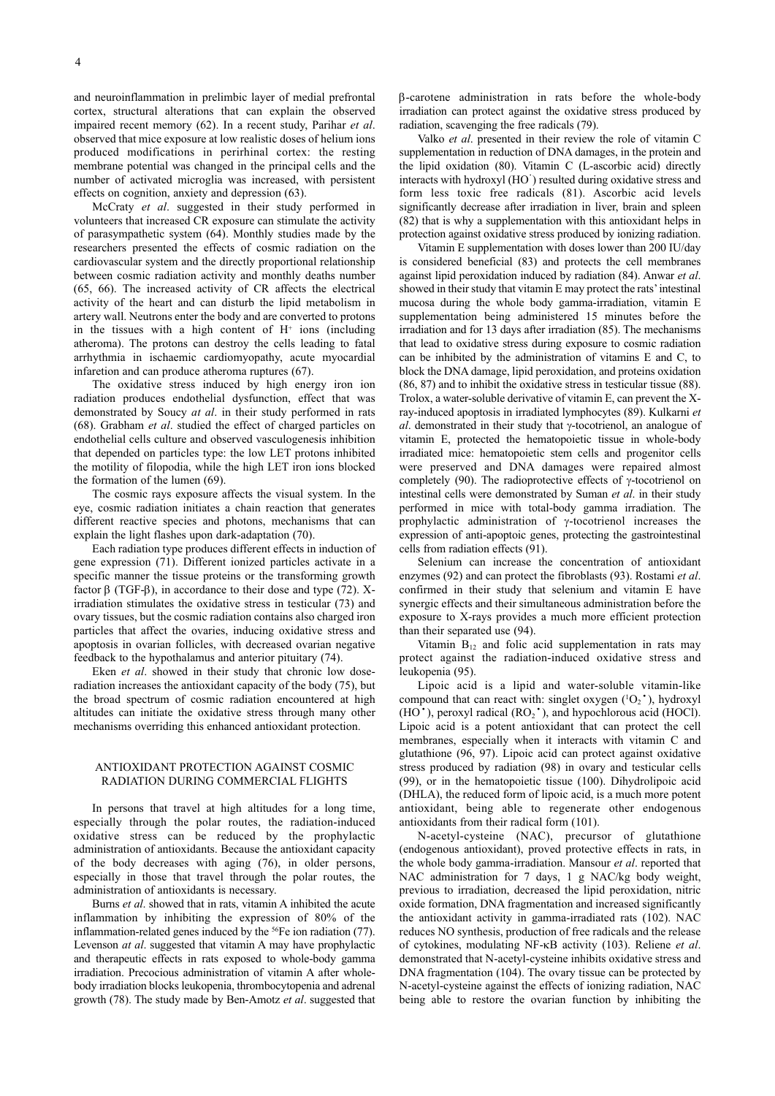McCraty *et al*. suggested in their study performed in volunteers that increased CR exposure can stimulate the activity of parasympathetic system (64). Monthly studies made by the researchers presented the effects of cosmic radiation on the cardiovascular system and the directly proportional relationship between cosmic radiation activity and monthly deaths number (65, 66). The increased activity of CR affects the electrical activity of the heart and can disturb the lipid metabolism in artery wall. Neutrons enter the body and are converted to protons in the tissues with a high content of  $H^+$  ions (including atheroma). The protons can destroy the cells leading to fatal arrhythmia in ischaemic cardiomyopathy, acute myocardial infaretion and can produce atheroma ruptures (67).

The oxidative stress induced by high energy iron ion radiation produces endothelial dysfunction, effect that was demonstrated by Soucy *at al*. in their study performed in rats (68). Grabham *et al*. studied the effect of charged particles on endothelial cells culture and observed vasculogenesis inhibition that depended on particles type: the low LET protons inhibited the motility of filopodia, while the high LET iron ions blocked the formation of the lumen (69).

The cosmic rays exposure affects the visual system. In the eye, cosmic radiation initiates a chain reaction that generates different reactive species and photons, mechanisms that can explain the light flashes upon dark-adaptation (70).

Each radiation type produces different effects in induction of gene expression (71). Different ionized particles activate in a specific manner the tissue proteins or the transforming growth factor  $\beta$  (TGF- $\beta$ ), in accordance to their dose and type (72). Xirradiation stimulates the oxidative stress in testicular (73) and ovary tissues, but the cosmic radiation contains also charged iron particles that affect the ovaries, inducing oxidative stress and apoptosis in ovarian follicles, with decreased ovarian negative feedback to the hypothalamus and anterior pituitary (74).

Eken *et al*. showed in their study that chronic low doseradiation increases the antioxidant capacity of the body (75), but the broad spectrum of cosmic radiation encountered at high altitudes can initiate the oxidative stress through many other mechanisms overriding this enhanced antioxidant protection.

# ANTIOXIDANT PROTECTION AGAINST COSMIC RADIATION DURING COMMERCIAL FLIGHTS

In persons that travel at high altitudes for a long time, especially through the polar routes, the radiation-induced oxidative stress can be reduced by the prophylactic administration of antioxidants. Because the antioxidant capacity of the body decreases with aging (76), in older persons, especially in those that travel through the polar routes, the administration of antioxidants is necessary.

Burns *et al*. showed that in rats, vitamin A inhibited the acute inflammation by inhibiting the expression of 80% of the inflammation-related genes induced by the 56Fe ion radiation (77). Levenson *at al*. suggested that vitamin A may have prophylactic and therapeutic effects in rats exposed to whole-body gamma irradiation. Precocious administration of vitamin A after wholebody irradiation blocks leukopenia, thrombocytopenia and adrenal growth (78). The study made by Ben-Amotz *et al*. suggested that b-carotene administration in rats before the whole-body irradiation can protect against the oxidative stress produced by radiation, scavenging the free radicals (79).

Valko *et al*. presented in their review the role of vitamin C supplementation in reduction of DNA damages, in the protein and the lipid oxidation (80). Vitamin C (L-ascorbic acid) directly interacts with hydroxyl (HO· ) resulted during oxidative stress and form less toxic free radicals (81). Ascorbic acid levels significantly decrease after irradiation in liver, brain and spleen (82) that is why a supplementation with this antioxidant helps in protection against oxidative stress produced by ionizing radiation.

Vitamin E supplementation with doses lower than 200 IU/day is considered beneficial (83) and protects the cell membranes against lipid peroxidation induced by radiation (84). Anwar *et al*. showed in their study that vitamin  $E$  may protect the rats' intestinal mucosa during the whole body gamma-irradiation, vitamin E supplementation being administered 15 minutes before the irradiation and for 13 days after irradiation (85). The mechanisms that lead to oxidative stress during exposure to cosmic radiation can be inhibited by the administration of vitamins E and C, to block the DNA damage, lipid peroxidation, and proteins oxidation (86, 87) and to inhibit the oxidative stress in testicular tissue (88). Trolox, a water-soluble derivative of vitamin E, can prevent the Xray-induced apoptosis in irradiated lymphocytes (89). Kulkarni *et al*. demonstrated in their study that γ-tocotrienol, an analogue of vitamin E, protected the hematopoietic tissue in whole-body irradiated mice: hematopoietic stem cells and progenitor cells were preserved and DNA damages were repaired almost completely (90). The radioprotective effects of  $\gamma$ -tocotrienol on intestinal cells were demonstrated by Suman *et al*. in their study performed in mice with total-body gamma irradiation. The prophylactic administration of  $\gamma$ -tocotrienol increases the expression of anti-apoptoic genes, protecting the gastrointestinal cells from radiation effects (91).

Selenium can increase the concentration of antioxidant enzymes (92) and can protect the fibroblasts (93). Rostami *et al*. confirmed in their study that selenium and vitamin E have synergic effects and their simultaneous administration before the exposure to X-rays provides a much more efficient protection than their separated use (94).

Vitamin  $B_{12}$  and folic acid supplementation in rats may protect against the radiation-induced oxidative stress and leukopenia (95).

Lipoic acid is a lipid and water-soluble vitamin-like compound that can react with: singlet oxygen  $(1O_2^{\bullet})$ , hydroxyl  $(HO<sup>*</sup>)$ , peroxyl radical  $(RO<sub>2</sub><sup>*</sup>)$ , and hypochlorous acid (HOCl). Lipoic acid is a potent antioxidant that can protect the cell membranes, especially when it interacts with vitamin C and glutathione (96, 97). Lipoic acid can protect against oxidative stress produced by radiation (98) in ovary and testicular cells (99), or in the hematopoietic tissue (100). Dihydrolipoic acid (DHLA), the reduced form of lipoic acid, is a much more potent antioxidant, being able to regenerate other endogenous antioxidants from their radical form (101).

N-acetyl-cysteine (NAC), precursor of glutathione (endogenous antioxidant), proved protective effects in rats, in the whole body gamma-irradiation. Mansour *et al*. reported that NAC administration for 7 days, 1 g NAC/kg body weight, previous to irradiation, decreased the lipid peroxidation, nitric oxide formation, DNA fragmentation and increased significantly the antioxidant activity in gamma-irradiated rats (102). NAC reduces NO synthesis, production of free radicals and the release of cytokines, modulating NF-kB activity (103). Reliene *et al*. demonstrated that N-acetyl-cysteine inhibits oxidative stress and DNA fragmentation (104). The ovary tissue can be protected by N-acetyl-cysteine against the effects of ionizing radiation, NAC being able to restore the ovarian function by inhibiting the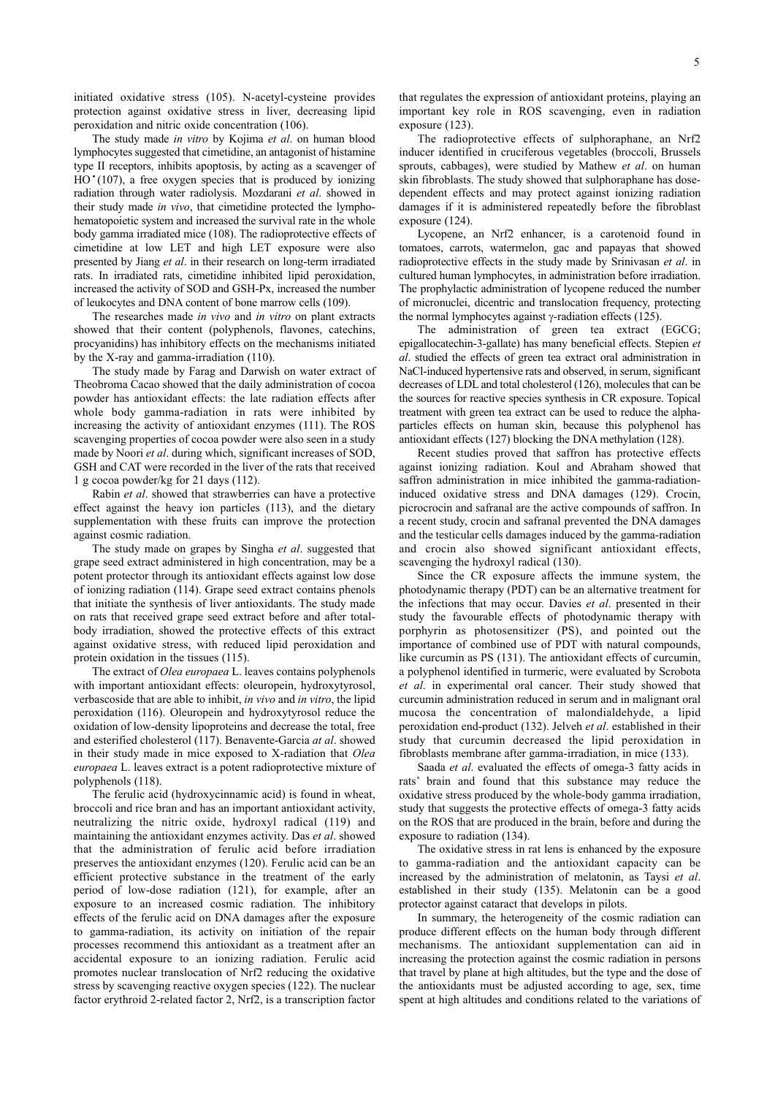initiated oxidative stress (105). N-acetyl-cysteine provides protection against oxidative stress in liver, decreasing lipid peroxidation and nitric oxide concentration (106).

The study made *in vitro* by Kojima *et al*. on human blood lymphocytes suggested that cimetidine, an antagonist of histamine type II receptors, inhibits apoptosis, by acting as a scavenger of  $HO'(107)$ , a free oxygen species that is produced by ionizing radiation through water radiolysis. Mozdarani *et al*. showed in their study made *in vivo*, that cimetidine protected the lymphohematopoietic system and increased the survival rate in the whole body gamma irradiated mice (108). The radioprotective effects of cimetidine at low LET and high LET exposure were also presented by jiang *et al*. in their research on long-term irradiated rats. In irradiated rats, cimetidine inhibited lipid peroxidation, increased the activity of SOD and GSH-Px, increased the number of leukocytes and DNA content of bone marrow cells (109).

The researches made *in vivo* and *in vitro* on plant extracts showed that their content (polyphenols, flavones, catechins, procyanidins) has inhibitory effects on the mechanisms initiated by the X-ray and gamma-irradiation (110).

The study made by Farag and Darwish on water extract of Theobroma Cacao showed that the daily administration of cocoa powder has antioxidant effects: the late radiation effects after whole body gamma-radiation in rats were inhibited by increasing the activity of antioxidant enzymes (111). The ROS scavenging properties of cocoa powder were also seen in a study made by Noori *et al*. during which, significant increases of SOD, GSH and CAT were recorded in the liver of the rats that received 1 g cocoa powder/kg for 21 days (112).

Rabin *et al*. showed that strawberries can have a protective effect against the heavy ion particles (113), and the dietary supplementation with these fruits can improve the protection against cosmic radiation.

The study made on grapes by Singha *et al*. suggested that grape seed extract administered in high concentration, may be a potent protector through its antioxidant effects against low dose of ionizing radiation (114). Grape seed extract contains phenols that initiate the synthesis of liver antioxidants. The study made on rats that received grape seed extract before and after totalbody irradiation, showed the protective effects of this extract against oxidative stress, with reduced lipid peroxidation and protein oxidation in the tissues (115).

The extract of *Olea europaea* L. leaves contains polyphenols with important antioxidant effects: oleuropein, hydroxytyrosol, verbascoside that are able to inhibit, *in vivo* and *in vitro*, the lipid peroxidation (116). Oleuropein and hydroxytyrosol reduce the oxidation of low-density lipoproteins and decrease the total, free and esterified cholesterol (117). Benavente-Garcia *at al*. showed in their study made in mice exposed to X-radiation that *Olea europaea* L. leaves extract is a potent radioprotective mixture of polyphenols (118).

The ferulic acid (hydroxycinnamic acid) is found in wheat, broccoli and rice bran and has an important antioxidant activity, neutralizing the nitric oxide, hydroxyl radical (119) and maintaining the antioxidant enzymes activity. Das *et al*. showed that the administration of ferulic acid before irradiation preserves the antioxidant enzymes (120). Ferulic acid can be an efficient protective substance in the treatment of the early period of low-dose radiation (121), for example, after an exposure to an increased cosmic radiation. The inhibitory effects of the ferulic acid on DNA damages after the exposure to gamma-radiation, its activity on initiation of the repair processes recommend this antioxidant as a treatment after an accidental exposure to an ionizing radiation. Ferulic acid promotes nuclear translocation of Nrf2 reducing the oxidative stress by scavenging reactive oxygen species (122). The nuclear factor erythroid 2-related factor 2, Nrf2, is a transcription factor

that regulates the expression of antioxidant proteins, playing an important key role in ROS scavenging, even in radiation exposure (123).

The radioprotective effects of sulphoraphane, an Nrf2 inducer identified in cruciferous vegetables (broccoli, Brussels sprouts, cabbages), were studied by Mathew *et al*. on human skin fibroblasts. The study showed that sulphoraphane has dosedependent effects and may protect against ionizing radiation damages if it is administered repeatedly before the fibroblast exposure (124).

Lycopene, an Nrf2 enhancer, is a carotenoid found in tomatoes, carrots, watermelon, gac and papayas that showed radioprotective effects in the study made by Srinivasan *et al*. in cultured human lymphocytes, in administration before irradiation. The prophylactic administration of lycopene reduced the number of micronuclei, dicentric and translocation frequency, protecting the normal lymphocytes against  $\gamma$ -radiation effects (125).

The administration of green tea extract (EGCG; epigallocatechin-3-gallate) has many beneficial effects. Stepien *et al*. studied the effects of green tea extract oral administration in NaCl-induced hypertensive rats and observed, in serum, significant decreases of LDL and total cholesterol (126), molecules that can be the sources for reactive species synthesis in CR exposure. Topical treatment with green tea extract can be used to reduce the alphaparticles effects on human skin, because this polyphenol has antioxidant effects (127) blocking the DNA methylation (128).

Recent studies proved that saffron has protective effects against ionizing radiation. Koul and Abraham showed that saffron administration in mice inhibited the gamma-radiationinduced oxidative stress and DNA damages (129). Crocin, picrocrocin and safranal are the active compounds of saffron. In a recent study, crocin and safranal prevented the DNA damages and the testicular cells damages induced by the gamma-radiation and crocin also showed significant antioxidant effects, scavenging the hydroxyl radical (130).

Since the CR exposure affects the immune system, the photodynamic therapy (PDT) can be an alternative treatment for the infections that may occur. Davies *et al*. presented in their study the favourable effects of photodynamic therapy with porphyrin as photosensitizer (PS), and pointed out the importance of combined use of PDT with natural compounds, like curcumin as PS (131). The antioxidant effects of curcumin, a polyphenol identified in turmeric, were evaluated by Scrobota *et al*. in experimental oral cancer. Their study showed that curcumin administration reduced in serum and in malignant oral mucosa the concentration of malondialdehyde, a lipid peroxidation end-product (132). jelveh *et al*. established in their study that curcumin decreased the lipid peroxidation in fibroblasts membrane after gamma-irradiation, in mice (133).

Saada *et al*. evaluated the effects of omega-3 fatty acids in rats' brain and found that this substance may reduce the oxidative stress produced by the whole-body gamma irradiation, study that suggests the protective effects of omega-3 fatty acids on the ROS that are produced in the brain, before and during the exposure to radiation (134).

The oxidative stress in rat lens is enhanced by the exposure to gamma-radiation and the antioxidant capacity can be increased by the administration of melatonin, as Taysi *et al*. established in their study (135). Melatonin can be a good protector against cataract that develops in pilots.

In summary, the heterogeneity of the cosmic radiation can produce different effects on the human body through different mechanisms. The antioxidant supplementation can aid in increasing the protection against the cosmic radiation in persons that travel by plane at high altitudes, but the type and the dose of the antioxidants must be adjusted according to age, sex, time spent at high altitudes and conditions related to the variations of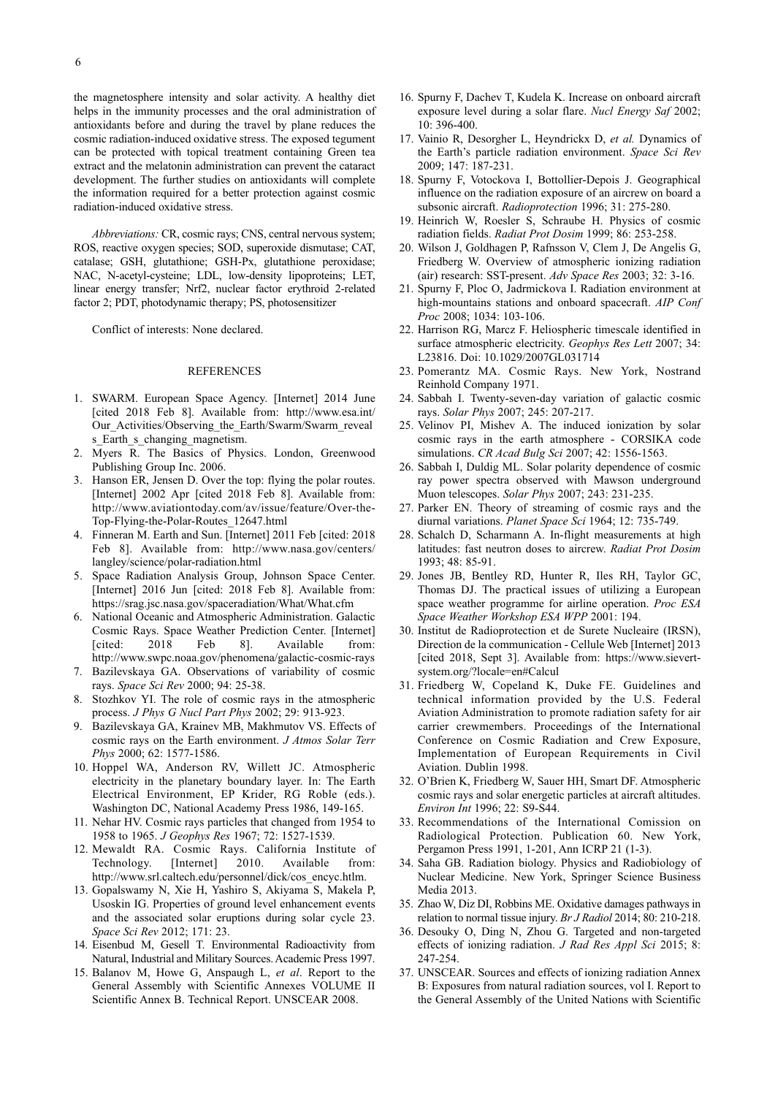the magnetosphere intensity and solar activity. A healthy diet helps in the immunity processes and the oral administration of antioxidants before and during the travel by plane reduces the cosmic radiation-induced oxidative stress. The exposed tegument can be protected with topical treatment containing Green tea extract and the melatonin administration can prevent the cataract development. The further studies on antioxidants will complete the information required for a better protection against cosmic radiation-induced oxidative stress.

*Abbreviations:* CR, cosmic rays; CNS, central nervous system; ROS, reactive oxygen species; SOD, superoxide dismutase; CAT, catalase; GSH, glutathione; GSH-Px, glutathione peroxidase; NAC, N-acetyl-cysteine; LDL, low-density lipoproteins; LET, linear energy transfer; Nrf2, nuclear factor erythroid 2-related factor 2; PDT, photodynamic therapy; PS, photosensitizer

Conflict of interests: None declared.

# REFERENCES

- 1. SWARM. European Space Agency. [Internet] 2014 june [cited 2018 Feb 8]. Available from: http://www.esa.int/ Our Activities/Observing the Earth/Swarm/Swarm reveal s\_Earth\_s\_changing\_magnetism.
- 2. Myers R. The Basics of Physics. London, Greenwood Publishing Group Inc. 2006.
- 3. Hanson ER, jensen D. Over the top: flying the polar routes. [Internet] 2002 Apr [cited 2018 Feb 8]. Available from: http://www.aviationtoday.com/av/issue/feature/Over-the-Top-Flying-the-Polar-Routes\_12647.html
- 4. Finneran M. Earth and Sun. [Internet] 2011 Feb [cited: 2018 Feb 8]. Available from: http://www.nasa.gov/centers/ langley/science/polar-radiation.html
- 5. Space Radiation Analysis Group, johnson Space Center. [Internet] 2016 Jun [cited: 2018 Feb 8]. Available from: https://srag.jsc.nasa.gov/spaceradiation/What/What.cfm
- 6. National Oceanic and Atmospheric Administration. Galactic Cosmic Rays. Space Weather Prediction Center. [Internet]<br>
[cited: 2018 Feb 8]. Available from: 2018 Feb 8]. Available from: http://www.swpc.noaa.gov/phenomena/galactic-cosmic-rays
- 7. Bazilevskaya GA. Observations of variability of cosmic rays. *Space Sci Rev* 2000; 94: 25-38.
- 8. Stozhkov yI. The role of cosmic rays in the atmospheric process. *J Phys G Nucl Part Phys* 2002; 29: 913-923.
- 9. Bazilevskaya GA, Krainev MB, Makhmutov VS. Effects of cosmic rays on the Earth environment. *J Atmos Solar Terr Phys* 2000; 62: 1577-1586.
- 10. Hoppel WA, Anderson RV, Willett jC. Atmospheric electricity in the planetary boundary layer. In: The Earth Electrical Environment, EP Krider, RG Roble (eds.). Washington DC, National Academy Press 1986, 149-165.
- 11. Nehar HV. Cosmic rays particles that changed from 1954 to 1958 to 1965. *J Geophys Res* 1967; 72: 1527-1539.
- 12. Mewaldt RA. Cosmic Rays. California Institute of Technology. [Internet] 2010. Available from: Technology. [Internet] 2010. Available from: http://www.srl.caltech.edu/personnel/dick/cos\_encyc.htlm.
- 13. Gopalswamy N, Xie H, yashiro S, Akiyama S, Makela P, Usoskin IG. Properties of ground level enhancement events and the associated solar eruptions during solar cycle 23. *Space Sci Rev* 2012; 171: 23.
- 14. Eisenbud M, Gesell T. Environmental Radioactivity from Natural, Industrial and Military Sources.Academic Press 1997.
- 15. Balanov M, Howe G, Anspaugh L, *et al*. Report to the General Assembly with Scientific Annexes VOLUME II Scientific Annex B. Technical Report. UNSCEAR 2008.
- 16. Spurny F, Dachev T, Kudela K. Increase on onboard aircraft exposure level during a solar flare. *Nucl Energy Saf* 2002; 10: 396-400.
- 17. Vainio R, Desorgher L, Heyndrickx D, *et al.* Dynamics of the Earth's particle radiation environment. *Space Sci Rev* 2009; 147: 187-231.
- 18. Spurny F, Votockova I, Bottollier-Depois j. Geographical influence on the radiation exposure of an aircrew on board a subsonic aircraft. *Radioprotection* 1996; 31: 275-280.
- 19. Heinrich W, Roesler S, Schraube H. Physics of cosmic radiation fields. *Radiat Prot Dosim* 1999; 86: 253-258.
- 20. Wilson j, Goldhagen P, Rafnsson V, Clem j, De Angelis G, Friedberg W. Overview of atmospheric ionizing radiation (air) research: SST-present. *Adv Space Res* 2003; 32: 3-16.
- 21. Spurny F, Ploc O, jadrmickova I. Radiation environment at high-mountains stations and onboard spacecraft. *AIP Conf Proc* 2008; 1034: 103-106.
- 22. Harrison RG, Marcz F. Heliospheric timescale identified in surface atmospheric electricity. *Geophys Res Lett* 2007; 34: L23816. Doi: 10.1029/2007GL031714
- 23. Pomerantz MA. Cosmic Rays. New York, Nostrand Reinhold Company 1971.
- 24. Sabbah I. Twenty-seven-day variation of galactic cosmic rays. *Solar Phys* 2007; 245: 207-217.
- 25. Velinov PI, Mishev A. The induced ionization by solar cosmic rays in the earth atmosphere - CORSIKA code simulations. *CR Acad Bulg Sci* 2007; 42: 1556-1563.
- 26. Sabbah I, Duldig ML. Solar polarity dependence of cosmic ray power spectra observed with Mawson underground Muon telescopes. *Solar Phys* 2007; 243: 231-235.
- 27. Parker EN. Theory of streaming of cosmic rays and the diurnal variations. *Planet Space Sci* 1964; 12: 735-749.
- 28. Schalch D, Scharmann A. In-flight measurements at high latitudes: fast neutron doses to aircrew. *Radiat Prot Dosim* 1993; 48: 85-91.
- 29. jones jB, Bentley RD, Hunter R, Iles RH, Taylor GC, Thomas Dj. The practical issues of utilizing a European space weather programme for airline operation. *Proc ESA Space Weather Workshop ESA WPP* 2001: 194.
- 30. Institut de Radioprotection et de Surete Nucleaire (IRSN), Direction de la communication - Cellule Web [Internet] 2013 [cited 2018, Sept 3]. Available from: https://www.sievertsystem.org/?locale=en#Calcul
- 31. Friedberg W, Copeland K, Duke FE. Guidelines and technical information provided by the U.S. Federal Aviation Administration to promote radiation safety for air carrier crewmembers. Proceedings of the International Conference on Cosmic Radiation and Crew Exposure, Implementation of European Requirements in Civil Aviation. Dublin 1998.
- 32. O'Brien K, Friedberg W, Sauer HH, Smart DF. Atmospheric cosmic rays and solar energetic particles at aircraft altitudes. *Environ Int* 1996; 22: S9-S44.
- 33. Recommendations of the International Comission on Radiological Protection. Publication 60. New York, Pergamon Press 1991, 1-201, Ann ICRP 21 (1-3).
- 34. Saha GB. Radiation biology. Physics and Radiobiology of Nuclear Medicine. New york, Springer Science Business Media 2013.
- 35. Zhao W, Diz DI, Robbins ME. Oxidative damages pathways in relation to normal tissue injury. *Br J Radiol* 2014; 80: 210-218.
- 36. Desouky O, Ding N, Zhou G. Targeted and non-targeted effects of ionizing radiation. *J Rad Res Appl Sci* 2015; 8: 247-254.
- 37. UNSCEAR. Sources and effects of ionizing radiation Annex B: Exposures from natural radiation sources, vol I. Report to the General Assembly of the United Nations with Scientific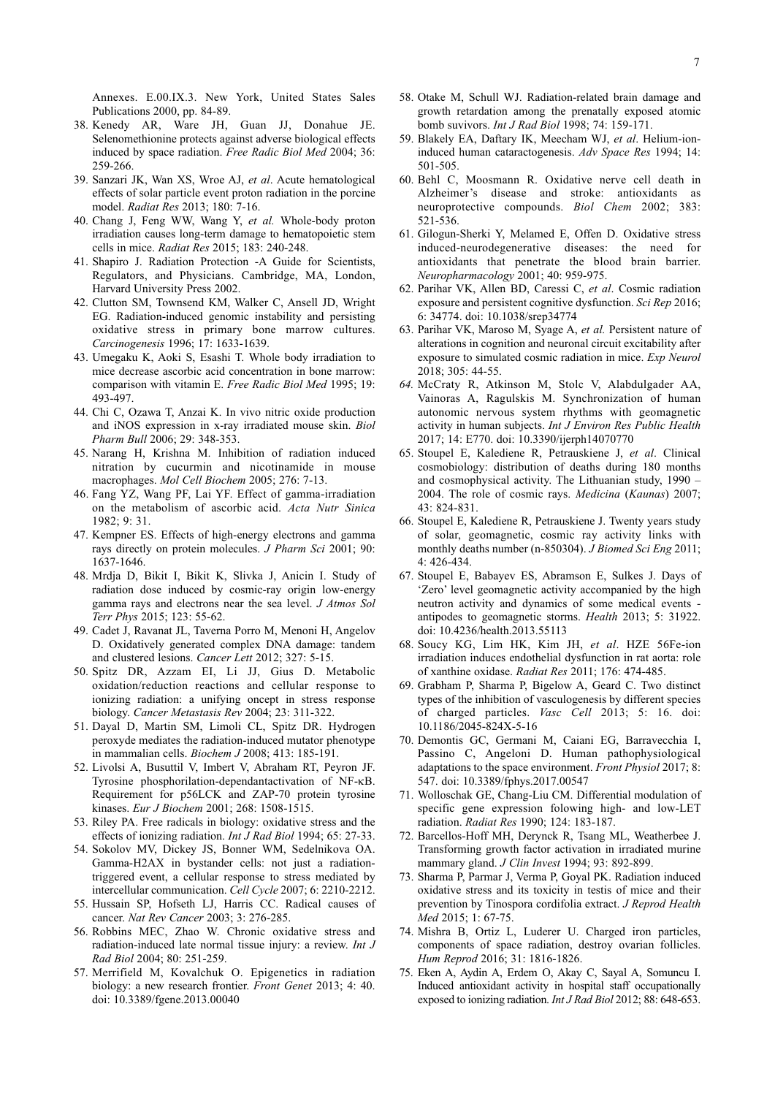- 38. Kenedy AR, Ware jH, Guan jj, Donahue jE. Selenomethionine protects against adverse biological effects induced by space radiation. *Free Radic Biol Med* 2004; 36: 259-266.
- 39. Sanzari jK, Wan XS, Wroe Aj, *et al*. Acute hematological effects of solar particle event proton radiation in the porcine model. *Radiat Res* 2013; 180: 7-16.
- 40. Chang j, Feng WW, Wang y, *et al.* Whole-body proton irradiation causes long-term damage to hematopoietic stem cells in mice. *Radiat Res* 2015; 183: 240-248.
- 41. Shapiro j. Radiation Protection -A Guide for Scientists, Regulators, and Physicians. Cambridge, MA, London, Harvard University Press 2002.
- 42. Clutton SM, Townsend KM, Walker C, Ansell jD, Wright EG. Radiation-induced genomic instability and persisting oxidative stress in primary bone marrow cultures. *Carcinogenesis* 1996; 17: 1633-1639.
- 43. Umegaku K, Aoki S, Esashi T. Whole body irradiation to mice decrease ascorbic acid concentration in bone marrow: comparison with vitamin E. *Free Radic Biol Med* 1995; 19: 493-497.
- 44. Chi C, Ozawa T, Anzai K. In vivo nitric oxide production and iNOS expression in x-ray irradiated mouse skin. *Biol Pharm Bull* 2006; 29: 348-353.
- 45. Narang H, Krishna M. Inhibition of radiation induced nitration by cucurmin and nicotinamide in mouse macrophages. *Mol Cell Biochem* 2005; 276: 7-13.
- 46. Fang yZ, Wang PF, Lai yF. Effect of gamma-irradiation on the metabolism of ascorbic acid. *Acta Nutr Sinica* 1982; 9: 31.
- 47. Kempner ES. Effects of high-energy electrons and gamma rays directly on protein molecules. *J Pharm Sci* 2001; 90: 1637-1646.
- 48. Mrdja D, Bikit I, Bikit K, Slivka j, Anicin I. Study of radiation dose induced by cosmic-ray origin low-energy gamma rays and electrons near the sea level. *J Atmos Sol Terr Phys* 2015; 123: 55-62.
- 49. Cadet j, Ravanat jL, Taverna Porro M, Menoni H, Angelov D. Oxidatively generated complex DNA damage: tandem and clustered lesions. *Cancer Lett* 2012; 327: 5-15.
- 50. Spitz DR, Azzam EI, Li jj, Gius D. Metabolic oxidation/reduction reactions and cellular response to ionizing radiation: a unifying oncept in stress response biology. *Cancer Metastasis Rev* 2004; 23: 311-322.
- 51. Dayal D, Martin SM, Limoli CL, Spitz DR. Hydrogen peroxyde mediates the radiation-induced mutator phenotype in mammalian cells. *Biochem J* 2008; 413: 185-191.
- 52. Livolsi A, Busuttil V, Imbert V, Abraham RT, Peyron jF. Tyrosine phosphorilation-dependantactivation of NF-kB. Requirement for p56LCK and ZAP-70 protein tyrosine kinases. *Eur J Biochem* 2001; 268: 1508-1515.
- 53. Riley PA. Free radicals in biology: oxidative stress and the effects of ionizing radiation. *Int J Rad Biol* 1994; 65: 27-33.
- 54. Sokolov MV, Dickey jS, Bonner WM, Sedelnikova OA. Gamma-H2AX in bystander cells: not just a radiationtriggered event, a cellular response to stress mediated by intercellular communication. *Cell Cycle* 2007; 6: 2210-2212.
- 55. Hussain SP, Hofseth Lj, Harris CC. Radical causes of cancer. *Nat Rev Cancer* 2003; 3: 276-285.
- 56. Robbins MEC, Zhao W. Chronic oxidative stress and radiation-induced late normal tissue injury: a review. *Int J Rad Biol* 2004; 80: 251-259.
- 57. Merrifield M, Kovalchuk O. Epigenetics in radiation biology: a new research frontier. *Front Genet* 2013; 4: 40. doi: 10.3389/fgene.2013.00040
- 58. Otake M, Schull Wj. Radiation-related brain damage and growth retardation among the prenatally exposed atomic bomb suvivors. *Int J Rad Biol* 1998; 74: 159-171.
- 59. Blakely EA, Daftary IK, Meecham Wj, *et al*. Helium-ioninduced human cataractogenesis. *Adv Space Res* 1994; 14: 501-505.
- 60. Behl C, Moosmann R. Oxidative nerve cell death in Alzheimer's disease and stroke: antioxidants as neuroprotective compounds. *Biol Chem* 2002; 383: 521-536.
- 61. Gilogun-Sherki y, Melamed E, Offen D. Oxidative stress induced-neurodegenerative diseases: the need for antioxidants that penetrate the blood brain barrier. *Neuropharmacology* 2001; 40: 959-975.
- 62. Parihar VK, Allen BD, Caressi C, *et al*. Cosmic radiation exposure and persistent cognitive dysfunction. *Sci Rep* 2016; 6: 34774. doi: 10.1038/srep34774
- 63. Parihar VK, Maroso M, Syage A, *et al.* Persistent nature of alterations in cognition and neuronal circuit excitability after exposure to simulated cosmic radiation in mice. *Exp Neurol* 2018; 305: 44-55.
- *64.* McCraty R, Atkinson M, Stolc V, Alabdulgader AA, Vainoras A, Ragulskis M. Synchronization of human autonomic nervous system rhythms with geomagnetic activity in human subjects. *Int J Environ Res Public Health* 2017; 14: E770. doi: 10.3390/ijerph14070770
- 65. Stoupel E, Kalediene R, Petrauskiene j, *et al*. Clinical cosmobiology: distribution of deaths during 180 months and cosmophysical activity. The Lithuanian study, 1990 – 2004. The role of cosmic rays. *Medicina* (*Kaunas*) 2007; 43: 824-831.
- 66. Stoupel E, Kalediene R, Petrauskiene j. Twenty years study of solar, geomagnetic, cosmic ray activity links with monthly deaths number (n-850304). *J Biomed Sci Eng* 2011; 4: 426-434.
- 67. Stoupel E, Babayev ES, Abramson E, Sulkes j. Days of 'Zero' level geomagnetic activity accompanied by the high neutron activity and dynamics of some medical events antipodes to geomagnetic storms. *Health* 2013; 5: 31922. doi: 10.4236/health.2013.55113
- 68. Soucy KG, Lim HK, Kim jH, *et al*. HZE 56Fe-ion irradiation induces endothelial dysfunction in rat aorta: role of xanthine oxidase. *Radiat Res* 2011; 176: 474-485.
- 69. Grabham P, Sharma P, Bigelow A, Geard C. Two distinct types of the inhibition of vasculogenesis by different species of charged particles. *Vasc Cell* 2013; 5: 16. doi: 10.1186/2045-824X-5-16
- 70. Demontis GC, Germani M, Caiani EG, Barravecchia I, Passino C, Angeloni D. Human pathophysiological adaptations to the space environment. *Front Physiol* 2017; 8: 547. doi: 10.3389/fphys.2017.00547
- 71. Wolloschak GE, Chang-Liu CM. Differential modulation of specific gene expression folowing high- and low-LET radiation. *Radiat Res* 1990; 124: 183-187.
- 72. Barcellos-Hoff MH, Derynck R, Tsang ML, Weatherbee j. Transforming growth factor activation in irradiated murine mammary gland. *J Clin Invest* 1994; 93: 892-899.
- 73. Sharma P, Parmar j, Verma P, Goyal PK. Radiation induced oxidative stress and its toxicity in testis of mice and their prevention by Tinospora cordifolia extract. *J Reprod Health Med* 2015; 1: 67-75.
- 74. Mishra B, Ortiz L, Luderer U. Charged iron particles, components of space radiation, destroy ovarian follicles. *Hum Reprod* 2016; 31: 1816-1826.
- 75. Eken A, Aydin A, Erdem O, Akay C, Sayal A, Somuncu I. Induced antioxidant activity in hospital staff occupationally exposed to ionizing radiation. *Int J Rad Biol* 2012; 88: 648-653.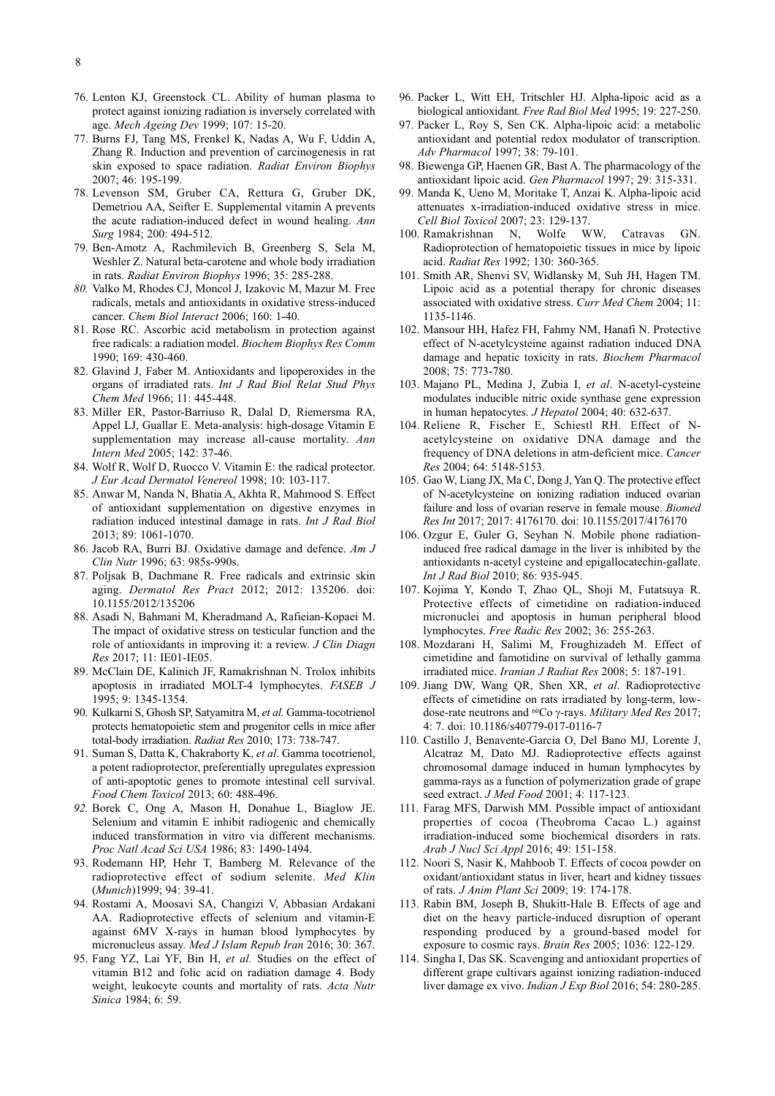- 76. Lenton Kj, Greenstock CL. Ability of human plasma to protect against ionizing radiation is inversely correlated with age. *Mech Ageing Dev* 1999; 107: 15-20.
- 77. Burns Fj, Tang MS, Frenkel K, Nadas A, Wu F, Uddin A, Zhang R. Induction and prevention of carcinogenesis in rat skin exposed to space radiation. *Radiat Environ Biophys* 2007; 46: 195-199.
- 78. Levenson SM, Gruber CA, Rettura G, Gruber DK, Demetriou AA, Seifter E. Supplemental vitamin A prevents the acute radiation-induced defect in wound healing. *Ann Surg* 1984; 200: 494-512.
- 79. Ben-Amotz A, Rachmilevich B, Greenberg S, Sela M, Weshler Z. Natural beta-carotene and whole body irradiation in rats. *Radiat Environ Biophys* 1996; 35: 285-288.
- *80.* Valko M, Rhodes Cj, Moncol j, Izakovic M, Mazur M. Free radicals, metals and antioxidants in oxidative stress-induced cancer. *Chem Biol Interact* 2006; 160: 1-40.
- 81. Rose RC. Ascorbic acid metabolism in protection against free radicals: a radiation model. *Biochem Biophys Res Comm* 1990; 169: 430-460.
- 82. Glavind J, Faber M. Antioxidants and lipoperoxides in the organs of irradiated rats. *Int J Rad Biol Relat Stud Phys Chem Med* 1966; 11: 445-448.
- 83. Miller ER, Pastor-Barriuso R, Dalal D, Riemersma RA, Appel Lj, Guallar E. Meta-analysis: high-dosage Vitamin E supplementation may increase all-cause mortality. *Ann Intern Med* 2005; 142: 37-46.
- 84. Wolf R, Wolf D, Ruocco V. Vitamin E: the radical protector. *J Eur Acad Dermatol Venereol* 1998; 10: 103-117.
- 85. Anwar M, Nanda N, Bhatia A, Akhta R, Mahmood S. Effect of antioxidant supplementation on digestive enzymes in radiation induced intestinal damage in rats. *Int J Rad Biol* 2013; 89: 1061-1070.
- 86. jacob RA, Burri Bj. Oxidative damage and defence. *Am J Clin Nutr* 1996; 63: 985s-990s.
- 87. Poljsak B, Dachmane R. Free radicals and extrinsic skin aging. *Dermatol Res Pract* 2012; 2012: 135206. doi: 10.1155/2012/135206
- 88. Asadi N, Bahmani M, Kheradmand A, Rafieian-Kopaei M. The impact of oxidative stress on testicular function and the role of antioxidants in improving it: a review. *J Clin Diagn Res* 2017; 11: IE01-IE05.
- 89. McClain DE, Kalinich jF, Ramakrishnan N. Trolox inhibits apoptosis in irradiated MOLT-4 lymphocytes. *FASEB J* 1995; 9: 1345-1354.
- 90. Kulkarni S, Ghosh SP, Satyamitra M, *et al.* Gamma-tocotrienol protects hematopoietic stem and progenitor cells in mice after total-body irradiation. *Radiat Res* 2010; 173: 738-747.
- 91. Suman S, Datta K, Chakraborty K, *et al*. Gamma tocotrienol, a potent radioprotector, preferentially upregulates expression of anti-apoptotic genes to promote intestinal cell survival. *Food Chem Toxicol* 2013; 60: 488-496.
- *92.* Borek C, Ong A, Mason H, Donahue L, Biaglow jE. Selenium and vitamin E inhibit radiogenic and chemically induced transformation in vitro via different mechanisms. *Proc Natl Acad Sci USA* 1986; 83: 1490-1494.
- 93. Rodemann HP, Hehr T, Bamberg M. Relevance of the radioprotective effect of sodium selenite. *Med Klin* (*Munich*)1999; 94: 39-41.
- 94. Rostami A, Moosavi SA, Changizi V, Abbasian Ardakani AA. Radioprotective effects of selenium and vitamin-E against 6MV X-rays in human blood lymphocytes by micronucleus assay. *Med J Islam Repub Iran* 2016; 30: 367.
- 95. Fang yZ, Lai yF, Bin H, *et al.* Studies on the effect of vitamin B12 and folic acid on radiation damage 4. Body weight, leukocyte counts and mortality of rats. *Acta Nutr Sinica* 1984; 6: 59.
- 96. Packer L, Witt EH, Tritschler Hj. Alpha-lipoic acid as a biological antioxidant. *Free Rad Biol Med* 1995; 19: 227-250.
- 97. Packer L, Roy S, Sen CK. Alpha-lipoic acid: a metabolic antioxidant and potential redox modulator of transcription. *Adv Pharmacol* 1997; 38: 79-101.
- 98. Biewenga GP, Haenen GR, Bast A. The pharmacology of the antioxidant lipoic acid. *Gen Pharmacol* 1997; 29: 315-331.
- 99. Manda K, Ueno M, Moritake T, Anzai K. Alpha-lipoic acid attenuates x-irradiation-induced oxidative stress in mice. *Cell Biol Toxicol* 2007; 23: 129-137.
- 100. Ramakrishnan N, Wolfe WW, Catravas GN. Radioprotection of hematopoietic tissues in mice by lipoic acid. *Radiat Res* 1992; 130: 360-365.
- 101. Smith AR, Shenvi SV, Widlansky M, Suh jH, Hagen TM. Lipoic acid as a potential therapy for chronic diseases associated with oxidative stress. *Curr Med Chem* 2004; 11: 1135-1146.
- 102. Mansour HH, Hafez FH, Fahmy NM, Hanafi N. Protective effect of N-acetylcysteine against radiation induced DNA damage and hepatic toxicity in rats. *Biochem Pharmacol* 2008; 75: 773-780.
- 103. Majano PL, Medina j, Zubia I, *et al*. N-acetyl-cysteine modulates inducible nitric oxide synthase gene expression in human hepatocytes. *J Hepatol* 2004; 40: 632-637.
- 104. Reliene R, Fischer E, Schiestl RH. Effect of Nacetylcysteine on oxidative DNA damage and the frequency of DNA deletions in atm-deficient mice. *Cancer Res* 2004; 64: 5148-5153.
- 105. Gao W, Liang jX, Ma C, Dong j, yan Q. The protective effect of N-acetylcysteine on ionizing radiation induced ovarian failure and loss of ovarian reserve in female mouse. *Biomed Res Int* 2017; 2017: 4176170. doi: 10.1155/2017/4176170
- 106. Ozgur E, Guler G, Seyhan N. Mobile phone radiationinduced free radical damage in the liver is inhibited by the antioxidants n-acetyl cysteine and epigallocatechin-gallate. *Int J Rad Biol* 2010; 86: 935-945.
- 107. Kojima y, Kondo T, Zhao QL, Shoji M, Futatsuya R. Protective effects of cimetidine on radiation-induced micronuclei and apoptosis in human peripheral blood lymphocytes. *Free Radic Res* 2002; 36: 255-263.
- 108. Mozdarani H, Salimi M, Froughizadeh M. Effect of cimetidine and famotidine on survival of lethally gamma irradiated mice. *Iranian J Radiat Res* 2008; 5: 187-191.
- 109. jiang DW, Wang QR, Shen XR, *et al*. Radioprotective effects of cimetidine on rats irradiated by long-term, lowdose-rate neutrons and 60Co g-rays. *Military Med Res* 2017; 4: 7. doi: 10.1186/s40779-017-0116-7
- 110. Castillo j, Benavente-Garcia O, Del Bano Mj, Lorente j, Alcatraz M, Dato Mj. Radioprotective effects against chromosomal damage induced in human lymphocytes by gamma-rays as a function of polymerization grade of grape seed extract. *J Med Food* 2001; 4: 117-123.
- 111. Farag MFS, Darwish MM. Possible impact of antioxidant properties of cocoa (Theobroma Cacao L.) against irradiation-induced some biochemical disorders in rats. *Arab J Nucl Sci Appl* 2016; 49: 151-158.
- 112. Noori S, Nasir K, Mahboob T. Effects of cocoa powder on oxidant/antioxidant status in liver, heart and kidney tissues of rats. *J Anim Plant Sci* 2009; 19: 174-178.
- 113. Rabin BM, joseph B, Shukitt-Hale B. Effects of age and diet on the heavy particle-induced disruption of operant responding produced by a ground-based model for exposure to cosmic rays. *Brain Res* 2005; 1036: 122-129.
- 114. Singha I, Das SK. Scavenging and antioxidant properties of different grape cultivars against ionizing radiation-induced liver damage ex vivo. *Indian J Exp Biol* 2016; 54: 280-285.